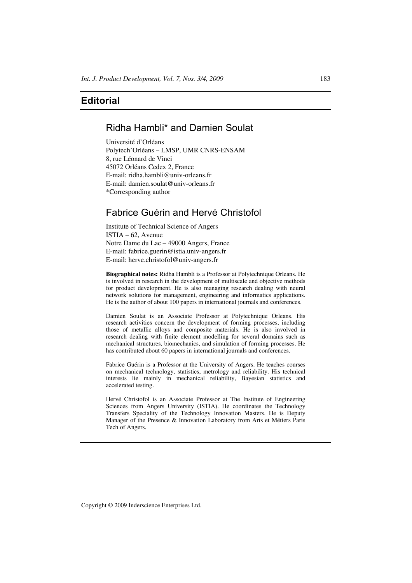## **Editorial**

# Ridha Hambli\* and Damien Soulat

Université d'Orléans Polytech'Orléans – LMSP, UMR CNRS-ENSAM 8, rue Léonard de Vinci 45072 Orléans Cedex 2, France E-mail: ridha.hambli@univ-orleans.fr E-mail: damien.soulat@univ-orleans.fr \*Corresponding author

## Fabrice Guérin and Hervé Christofol

Institute of Technical Science of Angers ISTIA – 62, Avenue Notre Dame du Lac – 49000 Angers, France E-mail: fabrice.guerin@istia.univ-angers.fr E-mail: herve.christofol@univ-angers.fr

**Biographical notes:** Ridha Hambli is a Professor at Polytechnique Orleans. He is involved in research in the development of multiscale and objective methods for product development. He is also managing research dealing with neural network solutions for management, engineering and informatics applications. He is the author of about 100 papers in international journals and conferences.

Damien Soulat is an Associate Professor at Polytechnique Orleans. His research activities concern the development of forming processes, including those of metallic alloys and composite materials. He is also involved in research dealing with finite element modelling for several domains such as mechanical structures, biomechanics, and simulation of forming processes. He has contributed about 60 papers in international journals and conferences.

Fabrice Guérin is a Professor at the University of Angers. He teaches courses on mechanical technology, statistics, metrology and reliability. His technical interests lie mainly in mechanical reliability, Bayesian statistics and accelerated testing.

Hervé Christofol is an Associate Professor at The Institute of Engineering Sciences from Angers University (ISTIA). He coordinates the Technology Transfers Speciality of the Technology Innovation Masters. He is Deputy Manager of the Presence & Innovation Laboratory from Arts et Métiers Paris Tech of Angers.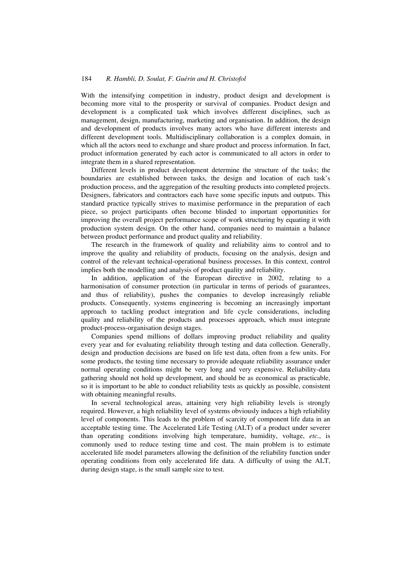#### 184 *R. Hambli, D. Soulat, F. Guérin and H. Christofol*

With the intensifying competition in industry, product design and development is becoming more vital to the prosperity or survival of companies. Product design and development is a complicated task which involves different disciplines, such as management, design, manufacturing, marketing and organisation. In addition, the design and development of products involves many actors who have different interests and different development tools. Multidisciplinary collaboration is a complex domain, in which all the actors need to exchange and share product and process information. In fact, product information generated by each actor is communicated to all actors in order to integrate them in a shared representation.

Different levels in product development determine the structure of the tasks; the boundaries are established between tasks, the design and location of each task's production process, and the aggregation of the resulting products into completed projects. Designers, fabricators and contractors each have some specific inputs and outputs. This standard practice typically strives to maximise performance in the preparation of each piece, so project participants often become blinded to important opportunities for improving the overall project performance scope of work structuring by equating it with production system design. On the other hand, companies need to maintain a balance between product performance and product quality and reliability.

The research in the framework of quality and reliability aims to control and to improve the quality and reliability of products, focusing on the analysis, design and control of the relevant technical-operational business processes. In this context, control implies both the modelling and analysis of product quality and reliability.

In addition, application of the European directive in 2002, relating to a harmonisation of consumer protection (in particular in terms of periods of guarantees, and thus of reliability), pushes the companies to develop increasingly reliable products. Consequently, systems engineering is becoming an increasingly important approach to tackling product integration and life cycle considerations, including quality and reliability of the products and processes approach, which must integrate product-process-organisation design stages.

Companies spend millions of dollars improving product reliability and quality every year and for evaluating reliability through testing and data collection. Generally, design and production decisions are based on life test data, often from a few units. For some products, the testing time necessary to provide adequate reliability assurance under normal operating conditions might be very long and very expensive. Reliability-data gathering should not hold up development, and should be as economical as practicable, so it is important to be able to conduct reliability tests as quickly as possible, consistent with obtaining meaningful results.

In several technological areas, attaining very high reliability levels is strongly required. However, a high reliability level of systems obviously induces a high reliability level of components. This leads to the problem of scarcity of component life data in an acceptable testing time. The Accelerated Life Testing (ALT) of a product under severer than operating conditions involving high temperature, humidity, voltage, *etc.*, is commonly used to reduce testing time and cost. The main problem is to estimate accelerated life model parameters allowing the definition of the reliability function under operating conditions from only accelerated life data. A difficulty of using the ALT, during design stage, is the small sample size to test.